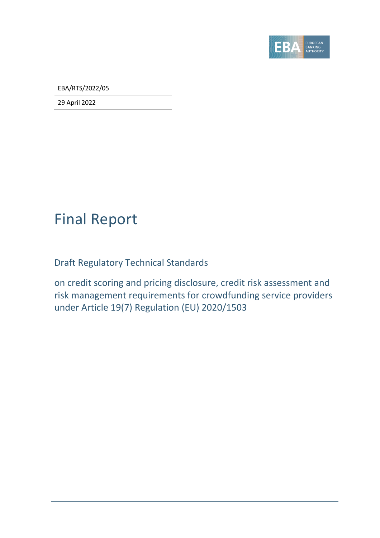

EBA/RTS/2022/05

29 April 2022

# Final Report

Draft Regulatory Technical Standards

on credit scoring and pricing disclosure, credit risk assessment and risk management requirements for crowdfunding service providers under Article 19(7) Regulation (EU) 2020/1503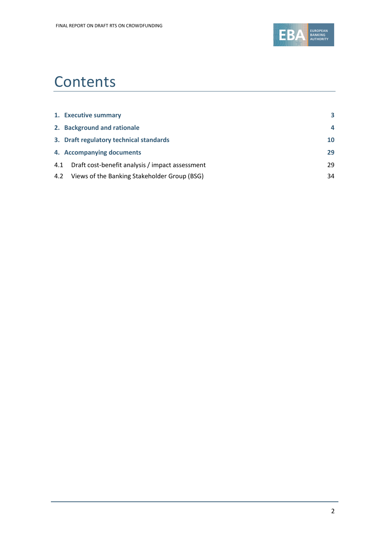

# **Contents**

|     | 1. Executive summary                             | 3                       |
|-----|--------------------------------------------------|-------------------------|
|     | 2. Background and rationale                      | $\overline{\mathbf{A}}$ |
|     | 3. Draft regulatory technical standards          | 10                      |
|     | 4. Accompanying documents                        | 29                      |
| 4.1 | Draft cost-benefit analysis / impact assessment  | 29                      |
|     | 4.2 Views of the Banking Stakeholder Group (BSG) | 34                      |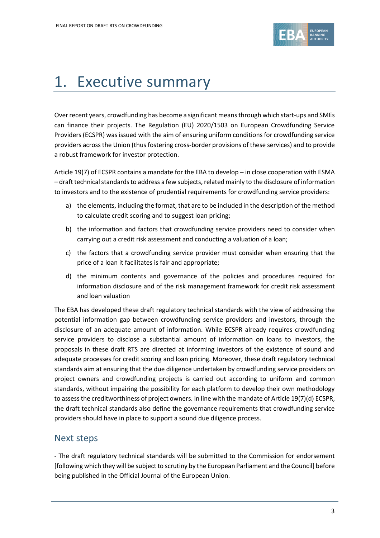

# <span id="page-2-0"></span>1. Executive summary

Over recent years, crowdfunding has become a significant meansthrough which start-ups and SMEs can finance their projects. The Regulation (EU) 2020/1503 on European Crowdfunding Service Providers (ECSPR) was issued with the aim of ensuring uniform conditions for crowdfunding service providers across the Union (thus fostering cross-border provisions of these services) and to provide a robust framework for investor protection.

Article 19(7) of ECSPR contains a mandate for the EBA to develop – in close cooperation with ESMA – draft technical standards to address a few subjects, related mainly to the disclosure of information to investors and to the existence of prudential requirements for crowdfunding service providers:

- a) the elements, including the format, that are to be included in the description of the method to calculate credit scoring and to suggest loan pricing;
- b) the information and factors that crowdfunding service providers need to consider when carrying out a credit risk assessment and conducting a valuation of a loan;
- c) the factors that a crowdfunding service provider must consider when ensuring that the price of a loan it facilitates is fair and appropriate;
- d) the minimum contents and governance of the policies and procedures required for information disclosure and of the risk management framework for credit risk assessment and loan valuation

The EBA has developed these draft regulatory technical standards with the view of addressing the potential information gap between crowdfunding service providers and investors, through the disclosure of an adequate amount of information. While ECSPR already requires crowdfunding service providers to disclose a substantial amount of information on loans to investors, the proposals in these draft RTS are directed at informing investors of the existence of sound and adequate processes for credit scoring and loan pricing. Moreover, these draft regulatory technical standards aim at ensuring that the due diligence undertaken by crowdfunding service providers on project owners and crowdfunding projects is carried out according to uniform and common standards, without impairing the possibility for each platform to develop their own methodology to assessthe creditworthiness of project owners. In line with the mandate of Article 19(7)(d) ECSPR, the draft technical standards also define the governance requirements that crowdfunding service providers should have in place to support a sound due diligence process.

### Next steps

- The draft regulatory technical standards will be submitted to the Commission for endorsement [following which they will be subject to scrutiny by the European Parliament and the Council] before being published in the Official Journal of the European Union.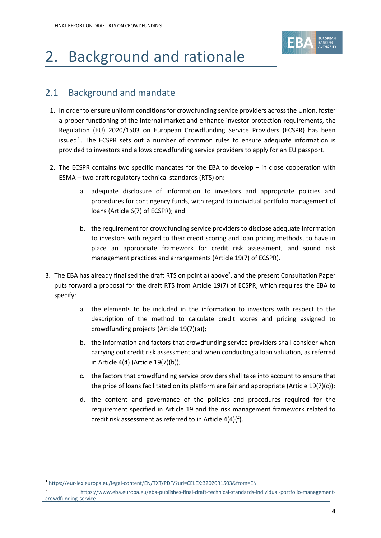

# <span id="page-3-0"></span>2. Background and rationale

# 2.1 Background and mandate

- 1. In order to ensure uniform conditions for crowdfunding service providers across the Union, foster a proper functioning of the internal market and enhance investor protection requirements, the Regulation (EU) 2020/1503 on European Crowdfunding Service Providers (ECSPR) has been issued<sup>1</sup>. The ECSPR sets out a number of common rules to ensure adequate information is provided to investors and allows crowdfunding service providers to apply for an EU passport.
- 2. The ECSPR contains two specific mandates for the EBA to develop in close cooperation with ESMA – two draft regulatory technical standards (RTS) on:
	- a. adequate disclosure of information to investors and appropriate policies and procedures for contingency funds, with regard to individual portfolio management of loans (Article 6(7) of ECSPR); and
	- b. the requirement for crowdfunding service providers to disclose adequate information to investors with regard to their credit scoring and loan pricing methods, to have in place an appropriate framework for credit risk assessment, and sound risk management practices and arrangements (Article 19(7) of ECSPR).
- 3. The EBA has already finalised the draft RTS on point a) above<sup>2</sup>, and the present Consultation Paper puts forward a proposal for the draft RTS from Article 19(7) of ECSPR, which requires the EBA to specify:
	- a. the elements to be included in the information to investors with respect to the description of the method to calculate credit scores and pricing assigned to crowdfunding projects (Article 19(7)(a));
	- b. the information and factors that crowdfunding service providers shall consider when carrying out credit risk assessment and when conducting a loan valuation, as referred in Article 4(4) (Article 19(7)(b));
	- c. the factors that crowdfunding service providers shall take into account to ensure that the price of loans facilitated on its platform are fair and appropriate (Article  $19(7)(c)$ );
	- d. the content and governance of the policies and procedures required for the requirement specified in Article 19 and the risk management framework related to credit risk assessment as referred to in Article 4(4)(f).

<sup>1</sup> <https://eur-lex.europa.eu/legal-content/EN/TXT/PDF/?uri=CELEX:32020R1503&from=EN>

<sup>2</sup> [https://www.eba.europa.eu/eba-publishes-final-draft-technical-standards-individual-portfolio-management](https://www.eba.europa.eu/eba-publishes-final-draft-technical-standards-individual-portfolio-management-crowdfunding-service)[crowdfunding-service](https://www.eba.europa.eu/eba-publishes-final-draft-technical-standards-individual-portfolio-management-crowdfunding-service)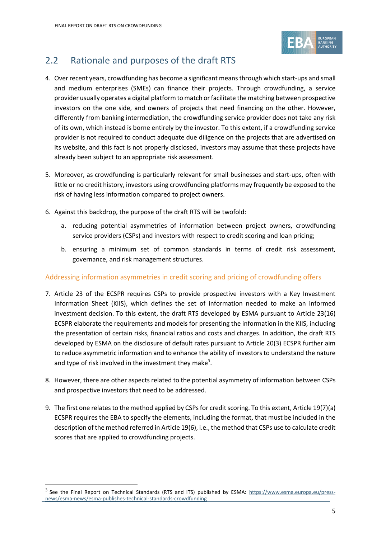

## 2.2 Rationale and purposes of the draft RTS

- 4. Over recent years, crowdfunding has become a significant meansthrough which start-ups and small and medium enterprises (SMEs) can finance their projects. Through crowdfunding, a service provider usually operates a digital platform to match or facilitate the matching between prospective investors on the one side, and owners of projects that need financing on the other. However, differently from banking intermediation, the crowdfunding service provider does not take any risk of its own, which instead is borne entirely by the investor. To this extent, if a crowdfunding service provider is not required to conduct adequate due diligence on the projects that are advertised on its website, and this fact is not properly disclosed, investors may assume that these projects have already been subject to an appropriate risk assessment.
- 5. Moreover, as crowdfunding is particularly relevant for small businesses and start-ups, often with little or no credit history, investors using crowdfunding platforms may frequently be exposed to the risk of having less information compared to project owners.
- 6. Against this backdrop, the purpose of the draft RTS will be twofold:
	- a. reducing potential asymmetries of information between project owners, crowdfunding service providers (CSPs) and investors with respect to credit scoring and loan pricing;
	- b. ensuring a minimum set of common standards in terms of credit risk assessment, governance, and risk management structures.

#### Addressing information asymmetries in credit scoring and pricing of crowdfunding offers

- 7. Article 23 of the ECSPR requires CSPs to provide prospective investors with a Key Investment Information Sheet (KIIS), which defines the set of information needed to make an informed investment decision. To this extent, the draft RTS developed by ESMA pursuant to Article 23(16) ECSPR elaborate the requirements and models for presenting the information in the KIIS, including the presentation of certain risks, financial ratios and costs and charges. In addition, the draft RTS developed by ESMA on the disclosure of default rates pursuant to Article 20(3) ECSPR further aim to reduce asymmetric information and to enhance the ability of investors to understand the nature and type of risk involved in the investment they make<sup>3</sup>.
- 8. However, there are other aspects related to the potential asymmetry of information between CSPs and prospective investors that need to be addressed.
- 9. The first one relates to the method applied by CSPs for credit scoring. To this extent, Article 19(7)(a) ECSPR requires the EBA to specify the elements, including the format, that must be included in the description of the method referred in Article 19(6), i.e., the method that CSPs use to calculate credit scores that are applied to crowdfunding projects.

<sup>&</sup>lt;sup>3</sup> See the Final Report on Technical Standards (RTS and ITS) published by ESMA: [https://www.esma.europa.eu/press](https://www.esma.europa.eu/press-news/esma-news/esma-publishes-technical-standards-crowdfunding)[news/esma-news/esma-publishes-technical-standards-crowdfunding](https://www.esma.europa.eu/press-news/esma-news/esma-publishes-technical-standards-crowdfunding)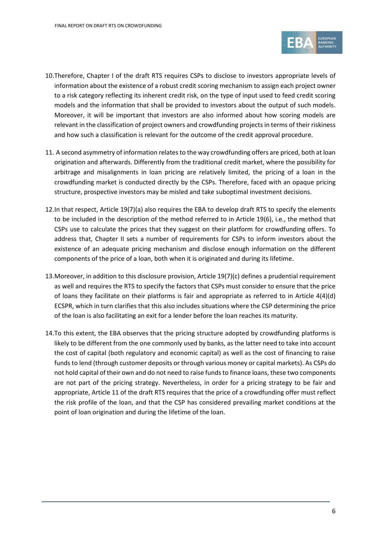

- 10.Therefore, Chapter I of the draft RTS requires CSPs to disclose to investors appropriate levels of information about the existence of a robust credit scoring mechanism to assign each project owner to a risk category reflecting its inherent credit risk, on the type of input used to feed credit scoring models and the information that shall be provided to investors about the output of such models. Moreover, it will be important that investors are also informed about how scoring models are relevant in the classification of project owners and crowdfunding projects in terms of their riskiness and how such a classification is relevant for the outcome of the credit approval procedure.
- 11. A second asymmetry of information relates to the way crowdfunding offers are priced, both at loan origination and afterwards. Differently from the traditional credit market, where the possibility for arbitrage and misalignments in loan pricing are relatively limited, the pricing of a loan in the crowdfunding market is conducted directly by the CSPs. Therefore, faced with an opaque pricing structure, prospective investors may be misled and take suboptimal investment decisions.
- 12.In that respect, Article 19(7)(a) also requires the EBA to develop draft RTS to specify the elements to be included in the description of the method referred to in Article 19(6), i.e., the method that CSPs use to calculate the prices that they suggest on their platform for crowdfunding offers. To address that, Chapter II sets a number of requirements for CSPs to inform investors about the existence of an adequate pricing mechanism and disclose enough information on the different components of the price of a loan, both when it is originated and during its lifetime.
- 13.Moreover, in addition to this disclosure provision, Article 19(7)(c) defines a prudential requirement as well and requires the RTS to specify the factors that CSPs must consider to ensure that the price of loans they facilitate on their platforms is fair and appropriate as referred to in Article 4(4)(d) ECSPR, which in turn clarifies that this also includes situations where the CSP determining the price of the loan is also facilitating an exit for a lender before the loan reaches its maturity.
- 14.To this extent, the EBA observes that the pricing structure adopted by crowdfunding platforms is likely to be different from the one commonly used by banks, as the latter need to take into account the cost of capital (both regulatory and economic capital) as well as the cost of financing to raise funds to lend (through customer deposits or through various money or capital markets). As CSPs do not hold capital of their own and do not need to raise funds to finance loans, these two components are not part of the pricing strategy. Nevertheless, in order for a pricing strategy to be fair and appropriate, Article 11 of the draft RTS requires that the price of a crowdfunding offer must reflect the risk profile of the loan, and that the CSP has considered prevailing market conditions at the point of loan origination and during the lifetime of the loan.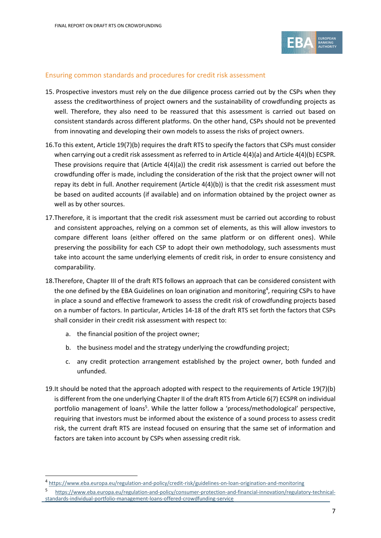

#### Ensuring common standards and procedures for credit risk assessment

- 15. Prospective investors must rely on the due diligence process carried out by the CSPs when they assess the creditworthiness of project owners and the sustainability of crowdfunding projects as well. Therefore, they also need to be reassured that this assessment is carried out based on consistent standards across different platforms. On the other hand, CSPs should not be prevented from innovating and developing their own models to assess the risks of project owners.
- 16.To this extent, Article 19(7)(b) requires the draft RTS to specify the factors that CSPs must consider when carrying out a credit risk assessment as referred to in Article 4(4)(a) and Article 4(4)(b) ECSPR. These provisions require that (Article 4(4)(a)) the credit risk assessment is carried out before the crowdfunding offer is made, including the consideration of the risk that the project owner will not repay its debt in full. Another requirement (Article 4(4)(b)) is that the credit risk assessment must be based on audited accounts (if available) and on information obtained by the project owner as well as by other sources.
- 17.Therefore, it is important that the credit risk assessment must be carried out according to robust and consistent approaches, relying on a common set of elements, as this will allow investors to compare different loans (either offered on the same platform or on different ones). While preserving the possibility for each CSP to adopt their own methodology, such assessments must take into account the same underlying elements of credit risk, in order to ensure consistency and comparability.
- 18.Therefore, Chapter III of the draft RTS follows an approach that can be considered consistent with the one defined by the EBA Guidelines on loan origination and monitoring<sup>4</sup>, requiring CSPs to have in place a sound and effective framework to assess the credit risk of crowdfunding projects based on a number of factors. In particular, Articles 14-18 of the draft RTS set forth the factors that CSPs shall consider in their credit risk assessment with respect to:
	- a. the financial position of the project owner;
	- b. the business model and the strategy underlying the crowdfunding project;
	- c. any credit protection arrangement established by the project owner, both funded and unfunded.
- 19.It should be noted that the approach adopted with respect to the requirements of Article 19(7)(b) is different from the one underlying Chapter II of the draft RTS from Article 6(7) ECSPR on individual portfolio management of loans<sup>5</sup>. While the latter follow a 'process/methodological' perspective, requiring that investors must be informed about the existence of a sound process to assess credit risk, the current draft RTS are instead focused on ensuring that the same set of information and factors are taken into account by CSPs when assessing credit risk.

<sup>4</sup> <https://www.eba.europa.eu/regulation-and-policy/credit-risk/guidelines-on-loan-origination-and-monitoring>

<sup>5</sup> [https://www.eba.europa.eu/regulation-and-policy/consumer-protection-and-financial-innovation/regulatory-technical](https://www.eba.europa.eu/regulation-and-policy/consumer-protection-and-financial-innovation/regulatory-technical-standards-individual-portfolio-management-loans-offered-crowdfunding-service)[standards-individual-portfolio-management-loans-offered-crowdfunding-service](https://www.eba.europa.eu/regulation-and-policy/consumer-protection-and-financial-innovation/regulatory-technical-standards-individual-portfolio-management-loans-offered-crowdfunding-service)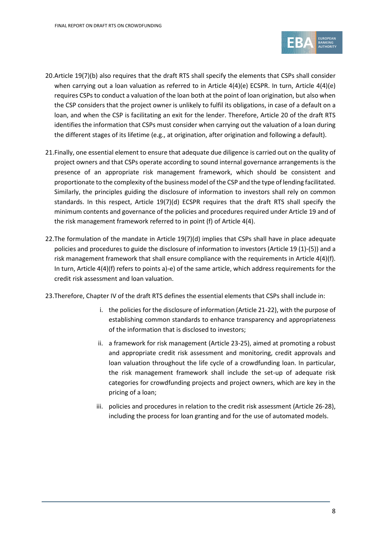

- 20.Article 19(7)(b) also requires that the draft RTS shall specify the elements that CSPs shall consider when carrying out a loan valuation as referred to in Article 4(4)(e) ECSPR. In turn, Article 4(4)(e) requires CSPsto conduct a valuation of the loan both at the point of loan origination, but also when the CSP considers that the project owner is unlikely to fulfil its obligations, in case of a default on a loan, and when the CSP is facilitating an exit for the lender. Therefore, Article 20 of the draft RTS identifies the information that CSPs must consider when carrying out the valuation of a loan during the different stages of its lifetime (e.g., at origination, after origination and following a default).
- 21.Finally, one essential element to ensure that adequate due diligence is carried out on the quality of project owners and that CSPs operate according to sound internal governance arrangements is the presence of an appropriate risk management framework, which should be consistent and proportionate to the complexity of the business model of the CSP and the type of lending facilitated. Similarly, the principles guiding the disclosure of information to investors shall rely on common standards. In this respect, Article 19(7)(d) ECSPR requires that the draft RTS shall specify the minimum contents and governance of the policies and procedures required under Article 19 and of the risk management framework referred to in point (f) of Article 4(4).
- 22.The formulation of the mandate in Article 19(7)(d) implies that CSPs shall have in place adequate policies and procedures to guide the disclosure of information to investors (Article 19 (1)-(5)) and a risk management framework that shall ensure compliance with the requirements in Article 4(4)(f). In turn, Article 4(4)(f) refers to points a)-e) of the same article, which address requirements for the credit risk assessment and loan valuation.
- 23.Therefore, Chapter IV of the draft RTS defines the essential elements that CSPs shall include in:
	- i. the policies for the disclosure of information (Article 21-22), with the purpose of establishing common standards to enhance transparency and appropriateness of the information that is disclosed to investors;
	- ii. a framework for risk management (Article 23-25), aimed at promoting a robust and appropriate credit risk assessment and monitoring, credit approvals and loan valuation throughout the life cycle of a crowdfunding loan. In particular, the risk management framework shall include the set-up of adequate risk categories for crowdfunding projects and project owners, which are key in the pricing of a loan;
	- iii. policies and procedures in relation to the credit risk assessment (Article 26-28), including the process for loan granting and for the use of automated models.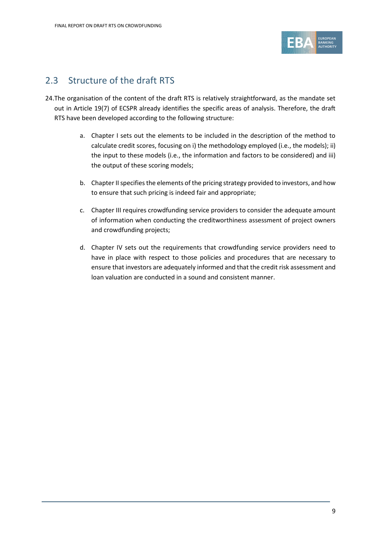

### 2.3 Structure of the draft RTS

- 24.The organisation of the content of the draft RTS is relatively straightforward, as the mandate set out in Article 19(7) of ECSPR already identifies the specific areas of analysis. Therefore, the draft RTS have been developed according to the following structure:
	- a. Chapter I sets out the elements to be included in the description of the method to calculate credit scores, focusing on i) the methodology employed (i.e., the models); ii) the input to these models (i.e., the information and factors to be considered) and iii) the output of these scoring models;
	- b. Chapter II specifies the elements of the pricing strategy provided to investors, and how to ensure that such pricing is indeed fair and appropriate;
	- c. Chapter III requires crowdfunding service providers to consider the adequate amount of information when conducting the creditworthiness assessment of project owners and crowdfunding projects;
	- d. Chapter IV sets out the requirements that crowdfunding service providers need to have in place with respect to those policies and procedures that are necessary to ensure that investors are adequately informed and that the credit risk assessment and loan valuation are conducted in a sound and consistent manner.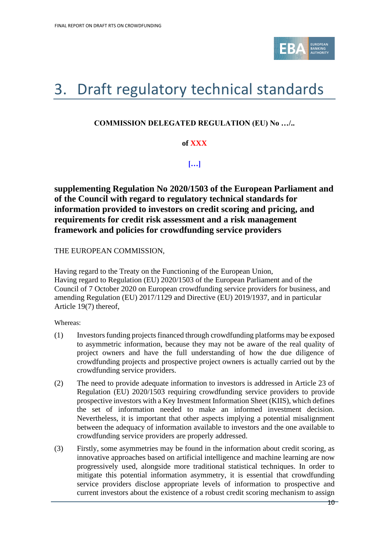

# <span id="page-9-0"></span>3. Draft regulatory technical standards

#### **COMMISSION DELEGATED REGULATION (EU) No …/..**

#### **of XXX**

**[…]**

**supplementing Regulation No 2020/1503 of the European Parliament and of the Council with regard to regulatory technical standards for information provided to investors on credit scoring and pricing, and requirements for credit risk assessment and a risk management framework and policies for crowdfunding service providers** 

THE EUROPEAN COMMISSION,

Having regard to the Treaty on the Functioning of the European Union, Having regard to Regulation (EU) 2020/1503 of the European Parliament and of the Council of 7 October 2020 on European crowdfunding service providers for business, and amending Regulation (EU) 2017/1129 and Directive (EU) 2019/1937, and in particular Article 19(7) thereof,

Whereas:

- (1) Investors funding projects financed through crowdfunding platforms may be exposed to asymmetric information, because they may not be aware of the real quality of project owners and have the full understanding of how the due diligence of crowdfunding projects and prospective project owners is actually carried out by the crowdfunding service providers.
- (2) The need to provide adequate information to investors is addressed in Article 23 of Regulation (EU) 2020/1503 requiring crowdfunding service providers to provide prospective investors with a Key Investment Information Sheet (KIIS), which defines the set of information needed to make an informed investment decision. Nevertheless, it is important that other aspects implying a potential misalignment between the adequacy of information available to investors and the one available to crowdfunding service providers are properly addressed.
- (3) Firstly, some asymmetries may be found in the information about credit scoring, as innovative approaches based on artificial intelligence and machine learning are now progressively used, alongside more traditional statistical techniques. In order to mitigate this potential information asymmetry, it is essential that crowdfunding service providers disclose appropriate levels of information to prospective and current investors about the existence of a robust credit scoring mechanism to assign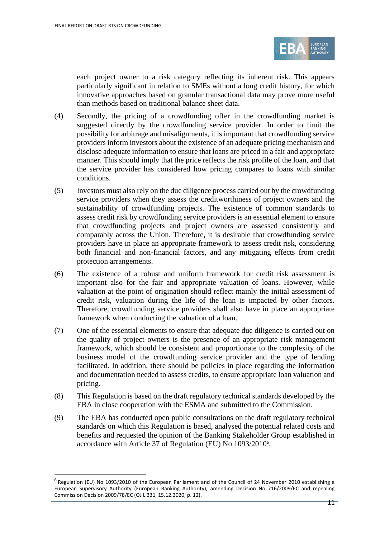

each project owner to a risk category reflecting its inherent risk. This appears particularly significant in relation to SMEs without a long credit history, for which innovative approaches based on granular transactional data may prove more useful than methods based on traditional balance sheet data.

- (4) Secondly, the pricing of a crowdfunding offer in the crowdfunding market is suggested directly by the crowdfunding service provider. In order to limit the possibility for arbitrage and misalignments, it is important that crowdfunding service providers inform investors about the existence of an adequate pricing mechanism and disclose adequate information to ensure that loans are priced in a fair and appropriate manner. This should imply that the price reflects the risk profile of the loan, and that the service provider has considered how pricing compares to loans with similar conditions.
- (5) Investors must also rely on the due diligence process carried out by the crowdfunding service providers when they assess the creditworthiness of project owners and the sustainability of crowdfunding projects. The existence of common standards to assess credit risk by crowdfunding service providers is an essential element to ensure that crowdfunding projects and project owners are assessed consistently and comparably across the Union. Therefore, it is desirable that crowdfunding service providers have in place an appropriate framework to assess credit risk, considering both financial and non-financial factors, and any mitigating effects from credit protection arrangements.
- (6) The existence of a robust and uniform framework for credit risk assessment is important also for the fair and appropriate valuation of loans. However, while valuation at the point of origination should reflect mainly the initial assessment of credit risk, valuation during the life of the loan is impacted by other factors. Therefore, crowdfunding service providers shall also have in place an appropriate framework when conducting the valuation of a loan.
- (7) One of the essential elements to ensure that adequate due diligence is carried out on the quality of project owners is the presence of an appropriate risk management framework, which should be consistent and proportionate to the complexity of the business model of the crowdfunding service provider and the type of lending facilitated. In addition, there should be policies in place regarding the information and documentation needed to assess credits, to ensure appropriate loan valuation and pricing.
- (8) This Regulation is based on the draft regulatory technical standards developed by the EBA in close cooperation with the ESMA and submitted to the Commission.
- (9) The EBA has conducted open public consultations on the draft regulatory technical standards on which this Regulation is based, analysed the potential related costs and benefits and requested the opinion of the Banking Stakeholder Group established in accordance with Article 37 of Regulation (EU) No 1093/2010<sup>6</sup>,

<sup>&</sup>lt;sup>6</sup> Regulation (EU) No 1093/2010 of the European Parliament and of the Council of 24 November 2010 establishing a European Supervisory Authority (European Banking Authority), amending Decision No 716/2009/EC and repealing Commission Decision 2009/78/EC (OJ L 331, 15.12.2020, p. 12).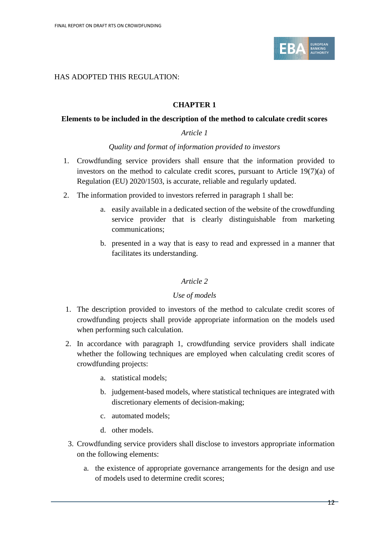

#### HAS ADOPTED THIS REGULATION:

#### **CHAPTER 1**

#### **Elements to be included in the description of the method to calculate credit scores**

#### *Article 1*

#### *Quality and format of information provided to investors*

- 1. Crowdfunding service providers shall ensure that the information provided to investors on the method to calculate credit scores, pursuant to Article 19(7)(a) of Regulation (EU) 2020/1503, is accurate, reliable and regularly updated.
- 2. The information provided to investors referred in paragraph 1 shall be:
	- a. easily available in a dedicated section of the website of the crowdfunding service provider that is clearly distinguishable from marketing communications;
	- b. presented in a way that is easy to read and expressed in a manner that facilitates its understanding.

#### *Article 2*

#### *Use of models*

- 1. The description provided to investors of the method to calculate credit scores of crowdfunding projects shall provide appropriate information on the models used when performing such calculation.
- 2. In accordance with paragraph 1, crowdfunding service providers shall indicate whether the following techniques are employed when calculating credit scores of crowdfunding projects:
	- a. statistical models;
	- b. judgement-based models, where statistical techniques are integrated with discretionary elements of decision-making;
	- c. automated models;
	- d. other models.
- 3. Crowdfunding service providers shall disclose to investors appropriate information on the following elements:
	- a. the existence of appropriate governance arrangements for the design and use of models used to determine credit scores;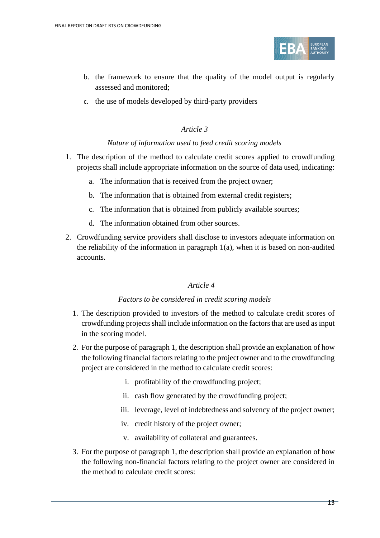

- b. the framework to ensure that the quality of the model output is regularly assessed and monitored;
- c. the use of models developed by third-party providers

#### *Nature of information used to feed credit scoring models*

- 1. The description of the method to calculate credit scores applied to crowdfunding projects shall include appropriate information on the source of data used, indicating:
	- a. The information that is received from the project owner;
	- b. The information that is obtained from external credit registers;
	- c. The information that is obtained from publicly available sources;
	- d. The information obtained from other sources.
- 2. Crowdfunding service providers shall disclose to investors adequate information on the reliability of the information in paragraph 1(a), when it is based on non-audited accounts.

#### *Article 4*

#### *Factors to be considered in credit scoring models*

- 1. The description provided to investors of the method to calculate credit scores of crowdfunding projects shall include information on the factors that are used as input in the scoring model.
- 2. For the purpose of paragraph 1, the description shall provide an explanation of how the following financial factors relating to the project owner and to the crowdfunding project are considered in the method to calculate credit scores:
	- i. profitability of the crowdfunding project;
	- ii. cash flow generated by the crowdfunding project;
	- iii. leverage, level of indebtedness and solvency of the project owner;
	- iv. credit history of the project owner;
	- v. availability of collateral and guarantees.
- 3. For the purpose of paragraph 1, the description shall provide an explanation of how the following non-financial factors relating to the project owner are considered in the method to calculate credit scores: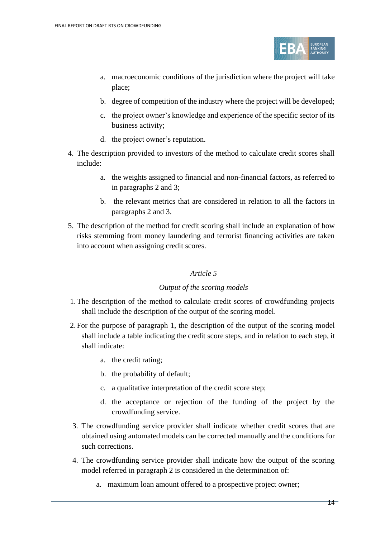

- a. macroeconomic conditions of the jurisdiction where the project will take place;
- b. degree of competition of the industry where the project will be developed;
- c. the project owner's knowledge and experience of the specific sector of its business activity;
- d. the project owner's reputation.
- 4. The description provided to investors of the method to calculate credit scores shall include:
	- a. the weights assigned to financial and non-financial factors, as referred to in paragraphs 2 and 3;
	- b. the relevant metrics that are considered in relation to all the factors in paragraphs 2 and 3.
- 5. The description of the method for credit scoring shall include an explanation of how risks stemming from money laundering and terrorist financing activities are taken into account when assigning credit scores.

#### *Output of the scoring models*

- 1.The description of the method to calculate credit scores of crowdfunding projects shall include the description of the output of the scoring model.
- 2. For the purpose of paragraph 1, the description of the output of the scoring model shall include a table indicating the credit score steps, and in relation to each step, it shall indicate:
	- a. the credit rating;
	- b. the probability of default;
	- c. a qualitative interpretation of the credit score step;
	- d. the acceptance or rejection of the funding of the project by the crowdfunding service.
- 3. The crowdfunding service provider shall indicate whether credit scores that are obtained using automated models can be corrected manually and the conditions for such corrections.
- 4. The crowdfunding service provider shall indicate how the output of the scoring model referred in paragraph 2 is considered in the determination of:
	- a. maximum loan amount offered to a prospective project owner;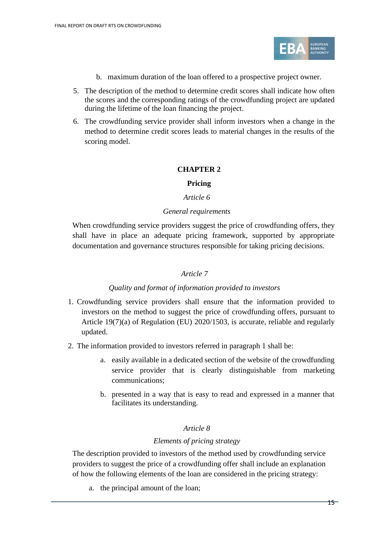

- b. maximum duration of the loan offered to a prospective project owner.
- 5. The description of the method to determine credit scores shall indicate how often the scores and the corresponding ratings of the crowdfunding project are updated during the lifetime of the loan financing the project.
- 6. The crowdfunding service provider shall inform investors when a change in the method to determine credit scores leads to material changes in the results of the scoring model.

#### **CHAPTER 2**

#### **Pricing**

#### *Article 6*

#### *General requirements*

When crowdfunding service providers suggest the price of crowdfunding offers, they shall have in place an adequate pricing framework, supported by appropriate documentation and governance structures responsible for taking pricing decisions.

#### *Article 7*

#### *Quality and format of information provided to investors*

- 1. Crowdfunding service providers shall ensure that the information provided to investors on the method to suggest the price of crowdfunding offers, pursuant to Article 19(7)(a) of Regulation (EU) 2020/1503, is accurate, reliable and regularly updated.
- 2. The information provided to investors referred in paragraph 1 shall be:
	- a. easily available in a dedicated section of the website of the crowdfunding service provider that is clearly distinguishable from marketing communications;
	- b. presented in a way that is easy to read and expressed in a manner that facilitates its understanding.

#### *Article 8*

#### *Elements of pricing strategy*

The description provided to investors of the method used by crowdfunding service providers to suggest the price of a crowdfunding offer shall include an explanation of how the following elements of the loan are considered in the pricing strategy:

a. the principal amount of the loan;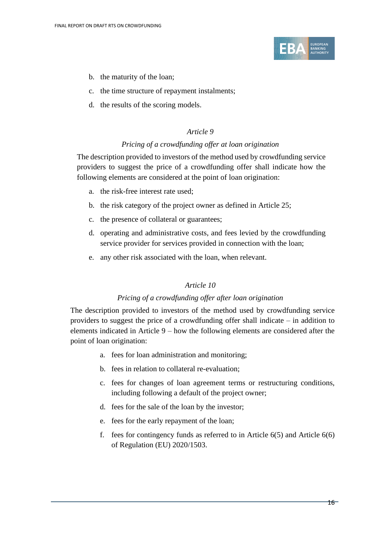

- b. the maturity of the loan;
- c. the time structure of repayment instalments;
- d. the results of the scoring models.

#### *Pricing of a crowdfunding offer at loan origination*

The description provided to investors of the method used by crowdfunding service providers to suggest the price of a crowdfunding offer shall indicate how the following elements are considered at the point of loan origination:

- a. the risk-free interest rate used;
- b. the risk category of the project owner as defined in Article 25;
- c. the presence of collateral or guarantees;
- d. operating and administrative costs, and fees levied by the crowdfunding service provider for services provided in connection with the loan;
- e. any other risk associated with the loan, when relevant.

#### *Article 10*

#### *Pricing of a crowdfunding offer after loan origination*

The description provided to investors of the method used by crowdfunding service providers to suggest the price of a crowdfunding offer shall indicate – in addition to elements indicated in Article 9 – how the following elements are considered after the point of loan origination:

- a. fees for loan administration and monitoring;
- b. fees in relation to collateral re-evaluation;
- c. fees for changes of loan agreement terms or restructuring conditions, including following a default of the project owner;
- d. fees for the sale of the loan by the investor;
- e. fees for the early repayment of the loan;
- f. fees for contingency funds as referred to in Article 6(5) and Article 6(6) of Regulation (EU) 2020/1503.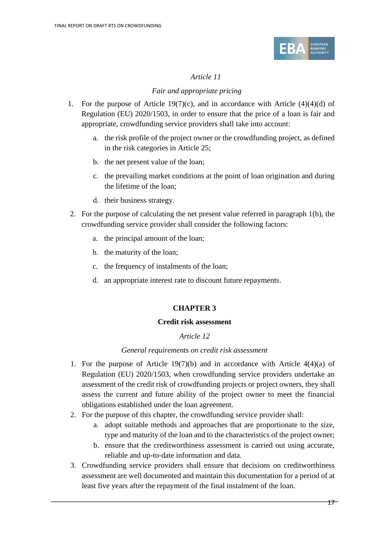

#### *Fair and appropriate pricing*

- 1. For the purpose of Article 19(7)(c), and in accordance with Article  $(4)(4)(d)$  of Regulation (EU) 2020/1503, in order to ensure that the price of a loan is fair and appropriate, crowdfunding service providers shall take into account:
	- a. the risk profile of the project owner or the crowdfunding project, as defined in the risk categories in Article 25;
	- b. the net present value of the loan;
	- c. the prevailing market conditions at the point of loan origination and during the lifetime of the loan;
	- d. their business strategy.
- 2. For the purpose of calculating the net present value referred in paragraph 1(b), the crowdfunding service provider shall consider the following factors:
	- a. the principal amount of the loan;
	- b. the maturity of the loan;
	- c. the frequency of instalments of the loan;
	- d. an appropriate interest rate to discount future repayments.

#### **CHAPTER 3**

#### **Credit risk assessment**

#### *Article 12*

#### *General requirements on credit risk assessment*

- 1. For the purpose of Article 19(7)(b) and in accordance with Article  $4(4)(a)$  of Regulation (EU) 2020/1503, when crowdfunding service providers undertake an assessment of the credit risk of crowdfunding projects or project owners, they shall assess the current and future ability of the project owner to meet the financial obligations established under the loan agreement.
- 2. For the purpose of this chapter, the crowdfunding service provider shall:
	- a. adopt suitable methods and approaches that are proportionate to the size, type and maturity of the loan and to the characteristics of the project owner;
	- b. ensure that the creditworthiness assessment is carried out using accurate, reliable and up-to-date information and data.
- 3. Crowdfunding service providers shall ensure that decisions on creditworthiness assessment are well documented and maintain this documentation for a period of at least five years after the repayment of the final instalment of the loan.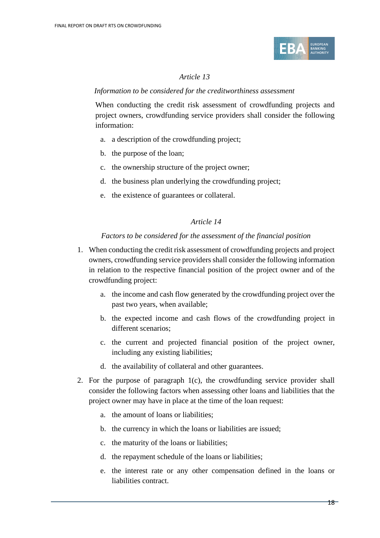

#### *Information to be considered for the creditworthiness assessment*

When conducting the credit risk assessment of crowdfunding projects and project owners, crowdfunding service providers shall consider the following information:

- a. a description of the crowdfunding project;
- b. the purpose of the loan;
- c. the ownership structure of the project owner;
- d. the business plan underlying the crowdfunding project;
- e. the existence of guarantees or collateral.

#### *Article 14*

#### *Factors to be considered for the assessment of the financial position*

- 1. When conducting the credit risk assessment of crowdfunding projects and project owners, crowdfunding service providers shall consider the following information in relation to the respective financial position of the project owner and of the crowdfunding project:
	- a. the income and cash flow generated by the crowdfunding project over the past two years, when available;
	- b. the expected income and cash flows of the crowdfunding project in different scenarios;
	- c. the current and projected financial position of the project owner, including any existing liabilities;
	- d. the availability of collateral and other guarantees.
- 2. For the purpose of paragraph 1(c), the crowdfunding service provider shall consider the following factors when assessing other loans and liabilities that the project owner may have in place at the time of the loan request:
	- a. the amount of loans or liabilities;
	- b. the currency in which the loans or liabilities are issued;
	- c. the maturity of the loans or liabilities;
	- d. the repayment schedule of the loans or liabilities;
	- e. the interest rate or any other compensation defined in the loans or liabilities contract.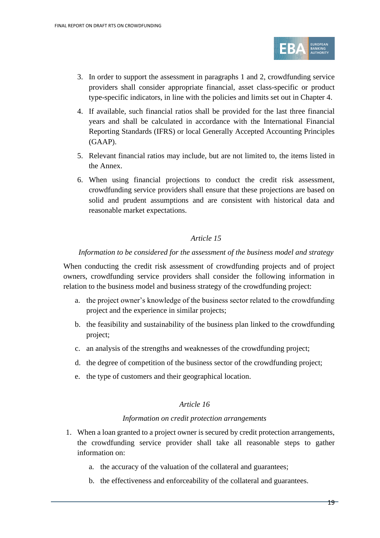

- 3. In order to support the assessment in paragraphs 1 and 2, crowdfunding service providers shall consider appropriate financial, asset class-specific or product type-specific indicators, in line with the policies and limits set out in Chapter 4.
- 4. If available, such financial ratios shall be provided for the last three financial years and shall be calculated in accordance with the International Financial Reporting Standards (IFRS) or local Generally Accepted Accounting Principles (GAAP).
- 5. Relevant financial ratios may include, but are not limited to, the items listed in the Annex.
- 6. When using financial projections to conduct the credit risk assessment, crowdfunding service providers shall ensure that these projections are based on solid and prudent assumptions and are consistent with historical data and reasonable market expectations.

#### *Information to be considered for the assessment of the business model and strategy*

When conducting the credit risk assessment of crowdfunding projects and of project owners, crowdfunding service providers shall consider the following information in relation to the business model and business strategy of the crowdfunding project:

- a. the project owner's knowledge of the business sector related to the crowdfunding project and the experience in similar projects;
- b. the feasibility and sustainability of the business plan linked to the crowdfunding project;
- c. an analysis of the strengths and weaknesses of the crowdfunding project;
- d. the degree of competition of the business sector of the crowdfunding project;
- e. the type of customers and their geographical location.

#### *Article 16*

#### *Information on credit protection arrangements*

- 1. When a loan granted to a project owner is secured by credit protection arrangements, the crowdfunding service provider shall take all reasonable steps to gather information on:
	- a. the accuracy of the valuation of the collateral and guarantees;
	- b. the effectiveness and enforceability of the collateral and guarantees.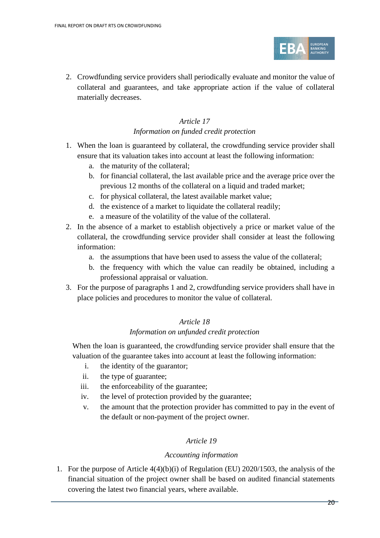

2. Crowdfunding service providers shall periodically evaluate and monitor the value of collateral and guarantees, and take appropriate action if the value of collateral materially decreases.

### *Article 17*

#### *Information on funded credit protection*

- 1. When the loan is guaranteed by collateral, the crowdfunding service provider shall ensure that its valuation takes into account at least the following information:
	- a. the maturity of the collateral;
	- b. for financial collateral, the last available price and the average price over the previous 12 months of the collateral on a liquid and traded market;
	- c. for physical collateral, the latest available market value;
	- d. the existence of a market to liquidate the collateral readily;
	- e. a measure of the volatility of the value of the collateral.
- 2. In the absence of a market to establish objectively a price or market value of the collateral, the crowdfunding service provider shall consider at least the following information:
	- a. the assumptions that have been used to assess the value of the collateral;
	- b. the frequency with which the value can readily be obtained, including a professional appraisal or valuation.
- 3. For the purpose of paragraphs 1 and 2, crowdfunding service providers shall have in place policies and procedures to monitor the value of collateral.

#### *Article 18*

#### *Information on unfunded credit protection*

When the loan is guaranteed, the crowdfunding service provider shall ensure that the valuation of the guarantee takes into account at least the following information:

- i. the identity of the guarantor;
- ii. the type of guarantee;
- iii. the enforceability of the guarantee;
- iv. the level of protection provided by the guarantee;
- v. the amount that the protection provider has committed to pay in the event of the default or non-payment of the project owner.

#### *Article 19*

#### *Accounting information*

1. For the purpose of Article 4(4)(b)(i) of Regulation (EU) 2020/1503, the analysis of the financial situation of the project owner shall be based on audited financial statements covering the latest two financial years, where available.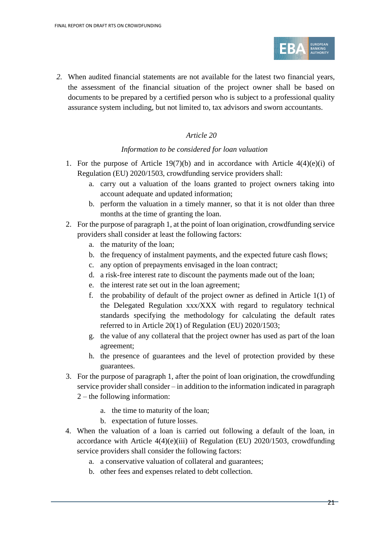

*2.* When audited financial statements are not available for the latest two financial years, the assessment of the financial situation of the project owner shall be based on documents to be prepared by a certified person who is subject to a professional quality assurance system including, but not limited to, tax advisors and sworn accountants.

#### *Article 20*

#### *Information to be considered for loan valuation*

- 1. For the purpose of Article 19(7)(b) and in accordance with Article  $4(4)(e)(i)$  of Regulation (EU) 2020/1503, crowdfunding service providers shall:
	- a. carry out a valuation of the loans granted to project owners taking into account adequate and updated information;
	- b. perform the valuation in a timely manner, so that it is not older than three months at the time of granting the loan.
- 2. For the purpose of paragraph 1, at the point of loan origination, crowdfunding service providers shall consider at least the following factors:
	- a. the maturity of the loan;
	- b. the frequency of instalment payments, and the expected future cash flows;
	- c. any option of prepayments envisaged in the loan contract;
	- d. a risk-free interest rate to discount the payments made out of the loan;
	- e. the interest rate set out in the loan agreement;
	- f. the probability of default of the project owner as defined in Article 1(1) of the Delegated Regulation xxx/XXX with regard to regulatory technical standards specifying the methodology for calculating the default rates referred to in Article 20(1) of Regulation (EU) 2020/1503;
	- g. the value of any collateral that the project owner has used as part of the loan agreement;
	- h. the presence of guarantees and the level of protection provided by these guarantees.
- 3. For the purpose of paragraph 1, after the point of loan origination, the crowdfunding service provider shall consider – in addition to the information indicated in paragraph
	- 2 the following information:
		- a. the time to maturity of the loan;
		- b. expectation of future losses.
- 4. When the valuation of a loan is carried out following a default of the loan, in accordance with Article 4(4)(e)(iii) of Regulation (EU) 2020/1503, crowdfunding service providers shall consider the following factors:
	- a. a conservative valuation of collateral and guarantees;
	- b. other fees and expenses related to debt collection.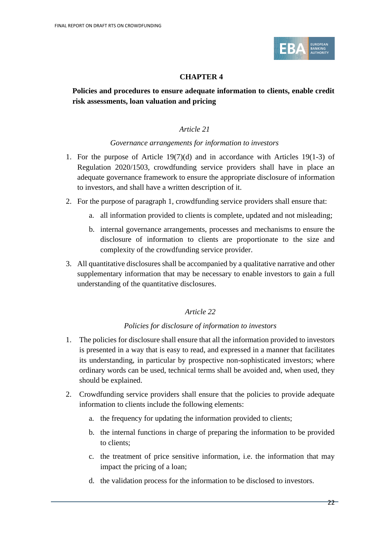

#### **CHAPTER 4**

#### **Policies and procedures to ensure adequate information to clients, enable credit risk assessments, loan valuation and pricing**

#### *Article 21*

#### *Governance arrangements for information to investors*

- 1. For the purpose of Article 19(7)(d) and in accordance with Articles 19(1-3) of Regulation 2020/1503, crowdfunding service providers shall have in place an adequate governance framework to ensure the appropriate disclosure of information to investors, and shall have a written description of it.
- 2. For the purpose of paragraph 1, crowdfunding service providers shall ensure that:
	- a. all information provided to clients is complete, updated and not misleading;
	- b. internal governance arrangements, processes and mechanisms to ensure the disclosure of information to clients are proportionate to the size and complexity of the crowdfunding service provider.
- 3. All quantitative disclosures shall be accompanied by a qualitative narrative and other supplementary information that may be necessary to enable investors to gain a full understanding of the quantitative disclosures.

#### *Article 22*

#### *Policies for disclosure of information to investors*

- 1. The policies for disclosure shall ensure that all the information provided to investors is presented in a way that is easy to read, and expressed in a manner that facilitates its understanding, in particular by prospective non-sophisticated investors; where ordinary words can be used, technical terms shall be avoided and, when used, they should be explained.
- 2. Crowdfunding service providers shall ensure that the policies to provide adequate information to clients include the following elements:
	- a. the frequency for updating the information provided to clients;
	- b. the internal functions in charge of preparing the information to be provided to clients;
	- c. the treatment of price sensitive information, i.e. the information that may impact the pricing of a loan;
	- d. the validation process for the information to be disclosed to investors.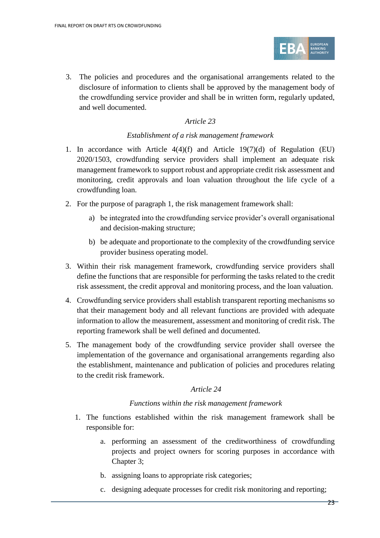

3. The policies and procedures and the organisational arrangements related to the disclosure of information to clients shall be approved by the management body of the crowdfunding service provider and shall be in written form, regularly updated, and well documented.

#### *Article 23*

#### *Establishment of a risk management framework*

- 1. In accordance with Article 4(4)(f) and Article 19(7)(d) of Regulation (EU) 2020/1503, crowdfunding service providers shall implement an adequate risk management framework to support robust and appropriate credit risk assessment and monitoring, credit approvals and loan valuation throughout the life cycle of a crowdfunding loan.
- 2. For the purpose of paragraph 1, the risk management framework shall:
	- a) be integrated into the crowdfunding service provider's overall organisational and decision-making structure;
	- b) be adequate and proportionate to the complexity of the crowdfunding service provider business operating model.
- 3. Within their risk management framework, crowdfunding service providers shall define the functions that are responsible for performing the tasks related to the credit risk assessment, the credit approval and monitoring process, and the loan valuation.
- 4. Crowdfunding service providers shall establish transparent reporting mechanisms so that their management body and all relevant functions are provided with adequate information to allow the measurement, assessment and monitoring of credit risk. The reporting framework shall be well defined and documented.
- 5. The management body of the crowdfunding service provider shall oversee the implementation of the governance and organisational arrangements regarding also the establishment, maintenance and publication of policies and procedures relating to the credit risk framework.

#### *Article 24*

#### *Functions within the risk management framework*

- 1. The functions established within the risk management framework shall be responsible for:
	- a. performing an assessment of the creditworthiness of crowdfunding projects and project owners for scoring purposes in accordance with Chapter 3;
	- b. assigning loans to appropriate risk categories;
	- c. designing adequate processes for credit risk monitoring and reporting;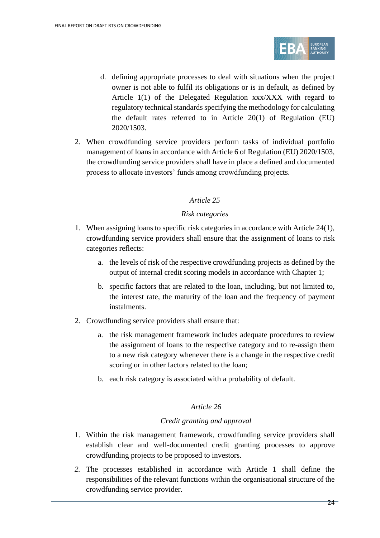

- d. defining appropriate processes to deal with situations when the project owner is not able to fulfil its obligations or is in default, as defined by Article 1(1) of the Delegated Regulation xxx/XXX with regard to regulatory technical standards specifying the methodology for calculating the default rates referred to in Article 20(1) of Regulation (EU) 2020/1503.
- 2. When crowdfunding service providers perform tasks of individual portfolio management of loans in accordance with Article 6 of Regulation (EU) 2020/1503, the crowdfunding service providers shall have in place a defined and documented process to allocate investors' funds among crowdfunding projects.

#### *Risk categories*

- 1. When assigning loans to specific risk categories in accordance with Article 24(1), crowdfunding service providers shall ensure that the assignment of loans to risk categories reflects:
	- a. the levels of risk of the respective crowdfunding projects as defined by the output of internal credit scoring models in accordance with Chapter 1;
	- b. specific factors that are related to the loan, including, but not limited to, the interest rate, the maturity of the loan and the frequency of payment instalments.
- 2. Crowdfunding service providers shall ensure that:
	- a. the risk management framework includes adequate procedures to review the assignment of loans to the respective category and to re-assign them to a new risk category whenever there is a change in the respective credit scoring or in other factors related to the loan;
	- b. each risk category is associated with a probability of default.

#### *Article 26*

#### *Credit granting and approval*

- 1. Within the risk management framework, crowdfunding service providers shall establish clear and well-documented credit granting processes to approve crowdfunding projects to be proposed to investors.
- *2.* The processes established in accordance with Article 1 shall define the responsibilities of the relevant functions within the organisational structure of the crowdfunding service provider.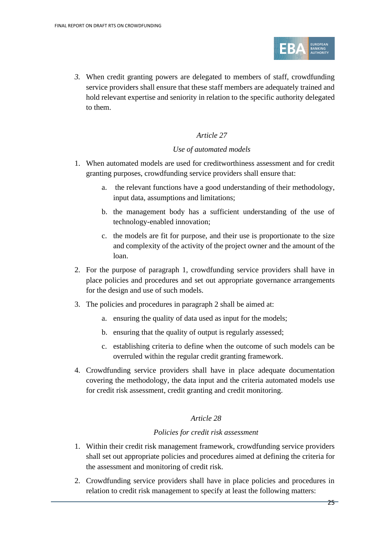

*3.* When credit granting powers are delegated to members of staff, crowdfunding service providers shall ensure that these staff members are adequately trained and hold relevant expertise and seniority in relation to the specific authority delegated to them.

#### *Article 27*

#### *Use of automated models*

- 1. When automated models are used for creditworthiness assessment and for credit granting purposes, crowdfunding service providers shall ensure that:
	- a. the relevant functions have a good understanding of their methodology, input data, assumptions and limitations;
	- b. the management body has a sufficient understanding of the use of technology-enabled innovation;
	- c. the models are fit for purpose, and their use is proportionate to the size and complexity of the activity of the project owner and the amount of the loan.
- 2. For the purpose of paragraph 1, crowdfunding service providers shall have in place policies and procedures and set out appropriate governance arrangements for the design and use of such models.
- 3. The policies and procedures in paragraph 2 shall be aimed at:
	- a. ensuring the quality of data used as input for the models;
	- b. ensuring that the quality of output is regularly assessed;
	- c. establishing criteria to define when the outcome of such models can be overruled within the regular credit granting framework.
- 4. Crowdfunding service providers shall have in place adequate documentation covering the methodology, the data input and the criteria automated models use for credit risk assessment, credit granting and credit monitoring.

#### *Article 28*

#### *Policies for credit risk assessment*

- 1. Within their credit risk management framework, crowdfunding service providers shall set out appropriate policies and procedures aimed at defining the criteria for the assessment and monitoring of credit risk.
- 2. Crowdfunding service providers shall have in place policies and procedures in relation to credit risk management to specify at least the following matters: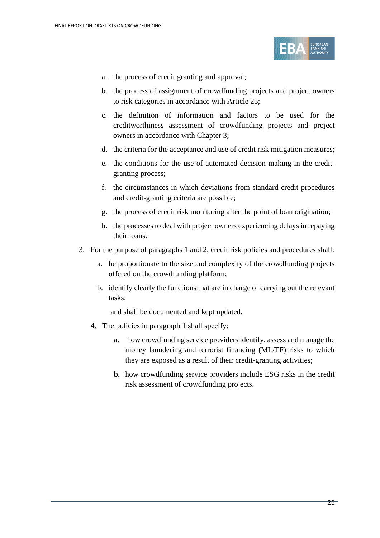

- a. the process of credit granting and approval;
- b. the process of assignment of crowdfunding projects and project owners to risk categories in accordance with Article 25;
- c. the definition of information and factors to be used for the creditworthiness assessment of crowdfunding projects and project owners in accordance with Chapter 3;
- d. the criteria for the acceptance and use of credit risk mitigation measures;
- e. the conditions for the use of automated decision-making in the creditgranting process;
- f. the circumstances in which deviations from standard credit procedures and credit-granting criteria are possible;
- g. the process of credit risk monitoring after the point of loan origination;
- h. the processes to deal with project owners experiencing delays in repaying their loans.
- 3. For the purpose of paragraphs 1 and 2, credit risk policies and procedures shall:
	- a. be proportionate to the size and complexity of the crowdfunding projects offered on the crowdfunding platform;
	- b. identify clearly the functions that are in charge of carrying out the relevant tasks;

and shall be documented and kept updated.

- **4.** The policies in paragraph 1 shall specify:
	- **a.** how crowdfunding service providers identify, assess and manage the money laundering and terrorist financing (ML/TF) risks to which they are exposed as a result of their credit-granting activities;
	- **b.** how crowdfunding service providers include ESG risks in the credit risk assessment of crowdfunding projects.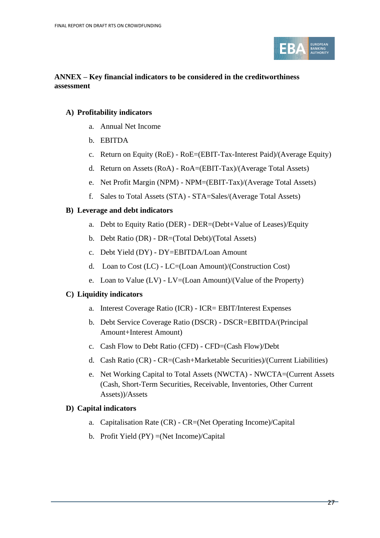

#### **ANNEX – Key financial indicators to be considered in the creditworthiness assessment**

#### **A) Profitability indicators**

- a. Annual Net Income
- b. EBITDA
- c. Return on Equity (RoE) RoE=(EBIT-Tax-Interest Paid)/(Average Equity)
- d. Return on Assets (RoA) RoA=(EBIT-Tax)/(Average Total Assets)
- e. Net Profit Margin (NPM) NPM=(EBIT-Tax)/(Average Total Assets)
- f. Sales to Total Assets (STA) STA=Sales/(Average Total Assets)

#### **B) Leverage and debt indicators**

- a. Debt to Equity Ratio (DER) DER=(Debt+Value of Leases)/Equity
- b. Debt Ratio (DR) DR=(Total Debt)/(Total Assets)
- c. Debt Yield (DY) DY=EBITDA/Loan Amount
- d. Loan to Cost (LC) LC=(Loan Amount)/(Construction Cost)
- e. Loan to Value (LV) LV=(Loan Amount)/(Value of the Property)

#### **C) Liquidity indicators**

- a. Interest Coverage Ratio (ICR) ICR= EBIT/Interest Expenses
- b. Debt Service Coverage Ratio (DSCR) DSCR=EBITDA/(Principal Amount+Interest Amount)
- c. Cash Flow to Debt Ratio (CFD) CFD=(Cash Flow)/Debt
- d. Cash Ratio (CR) CR=(Cash+Marketable Securities)/(Current Liabilities)
- e. Net Working Capital to Total Assets (NWCTA) NWCTA=(Current Assets (Cash, Short-Term Securities, Receivable, Inventories, Other Current Assets))/Assets

#### **D) Capital indicators**

- a. Capitalisation Rate (CR) CR=(Net Operating Income)/Capital
- b. Profit Yield (PY) =(Net Income)/Capital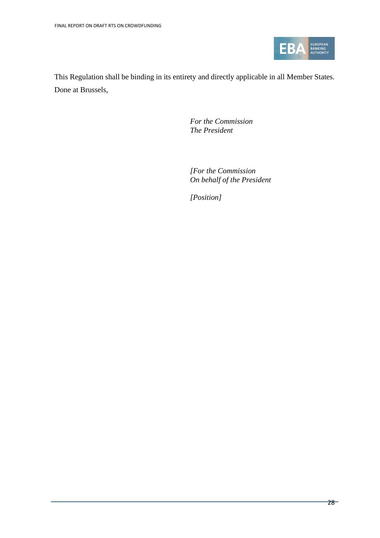

This Regulation shall be binding in its entirety and directly applicable in all Member States. Done at Brussels,

> *For the Commission The President*

*[For the Commission On behalf of the President*

*[Position]*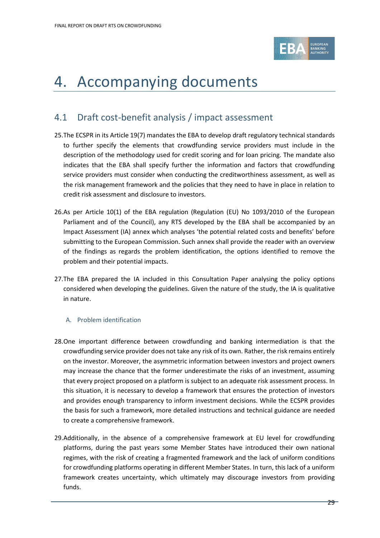

# <span id="page-28-0"></span>4. Accompanying documents

### <span id="page-28-1"></span>4.1 Draft cost-benefit analysis / impact assessment

- 25.The ECSPR in its Article 19(7) mandates the EBA to develop draft regulatory technical standards to further specify the elements that crowdfunding service providers must include in the description of the methodology used for credit scoring and for loan pricing. The mandate also indicates that the EBA shall specify further the information and factors that crowdfunding service providers must consider when conducting the creditworthiness assessment, as well as the risk management framework and the policies that they need to have in place in relation to credit risk assessment and disclosure to investors.
- 26.As per Article 10(1) of the EBA regulation (Regulation (EU) No 1093/2010 of the European Parliament and of the Council), any RTS developed by the EBA shall be accompanied by an Impact Assessment (IA) annex which analyses 'the potential related costs and benefits' before submitting to the European Commission. Such annex shall provide the reader with an overview of the findings as regards the problem identification, the options identified to remove the problem and their potential impacts.
- 27.The EBA prepared the IA included in this Consultation Paper analysing the policy options considered when developing the guidelines. Given the nature of the study, the IA is qualitative in nature.

#### A. Problem identification

- 28.One important difference between crowdfunding and banking intermediation is that the crowdfunding service provider does not take any risk of its own. Rather, the risk remains entirely on the investor. Moreover, the asymmetric information between investors and project owners may increase the chance that the former underestimate the risks of an investment, assuming that every project proposed on a platform is subject to an adequate risk assessment process. In this situation, it is necessary to develop a framework that ensures the protection of investors and provides enough transparency to inform investment decisions. While the ECSPR provides the basis for such a framework, more detailed instructions and technical guidance are needed to create a comprehensive framework.
- 29.Additionally, in the absence of a comprehensive framework at EU level for crowdfunding platforms, during the past years some Member States have introduced their own national regimes, with the risk of creating a fragmented framework and the lack of uniform conditions for crowdfunding platforms operating in different Member States. In turn, this lack of a uniform framework creates uncertainty, which ultimately may discourage investors from providing funds.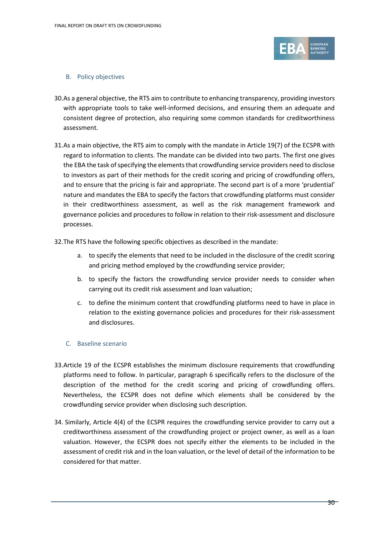

#### B. Policy objectives

- 30.As a general objective, the RTS aim to contribute to enhancing transparency, providing investors with appropriate tools to take well-informed decisions, and ensuring them an adequate and consistent degree of protection, also requiring some common standards for creditworthiness assessment.
- 31.As a main objective, the RTS aim to comply with the mandate in Article 19(7) of the ECSPR with regard to information to clients. The mandate can be divided into two parts. The first one gives the EBA the task of specifying the elements that crowdfunding service providers need to disclose to investors as part of their methods for the credit scoring and pricing of crowdfunding offers, and to ensure that the pricing is fair and appropriate. The second part is of a more 'prudential' nature and mandates the EBA to specify the factors that crowdfunding platforms must consider in their creditworthiness assessment, as well as the risk management framework and governance policies and procedures to follow in relation to their risk-assessment and disclosure processes.
- 32.The RTS have the following specific objectives as described in the mandate:
	- a. to specify the elements that need to be included in the disclosure of the credit scoring and pricing method employed by the crowdfunding service provider;
	- b. to specify the factors the crowdfunding service provider needs to consider when carrying out its credit risk assessment and loan valuation;
	- c. to define the minimum content that crowdfunding platforms need to have in place in relation to the existing governance policies and procedures for their risk-assessment and disclosures.
	- C. Baseline scenario
- 33.Article 19 of the ECSPR establishes the minimum disclosure requirements that crowdfunding platforms need to follow. In particular, paragraph 6 specifically refers to the disclosure of the description of the method for the credit scoring and pricing of crowdfunding offers. Nevertheless, the ECSPR does not define which elements shall be considered by the crowdfunding service provider when disclosing such description.
- 34. Similarly, Article 4(4) of the ECSPR requires the crowdfunding service provider to carry out a creditworthiness assessment of the crowdfunding project or project owner, as well as a loan valuation. However, the ECSPR does not specify either the elements to be included in the assessment of credit risk and in the loan valuation, or the level of detail of the information to be considered for that matter.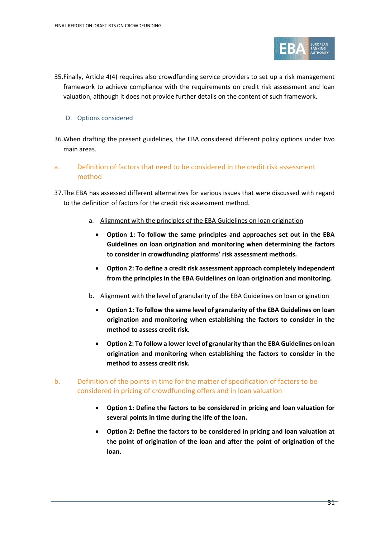

35.Finally, Article 4(4) requires also crowdfunding service providers to set up a risk management framework to achieve compliance with the requirements on credit risk assessment and loan valuation, although it does not provide further details on the content of such framework.

#### D. Options considered

- 36.When drafting the present guidelines, the EBA considered different policy options under two main areas.
- a. Definition of factors that need to be considered in the credit risk assessment method
- 37.The EBA has assessed different alternatives for various issues that were discussed with regard to the definition of factors for the credit risk assessment method.
	- a. Alignment with the principles of the EBA Guidelines on loan origination
		- **Option 1: To follow the same principles and approaches set out in the EBA Guidelines on loan origination and monitoring when determining the factors to consider in crowdfunding platforms' risk assessment methods.**
		- **Option 2: To define a credit risk assessment approach completely independent from the principles in the EBA Guidelines on loan origination and monitoring.**
	- b. Alignment with the level of granularity of the EBA Guidelines on loan origination
		- **Option 1: To follow the same level of granularity of the EBA Guidelines on loan origination and monitoring when establishing the factors to consider in the method to assess credit risk.**
		- **Option 2: To follow a lower level of granularity than the EBA Guidelines on loan origination and monitoring when establishing the factors to consider in the method to assess credit risk.**
- b. Definition of the points in time for the matter of specification of factors to be considered in pricing of crowdfunding offers and in loan valuation
	- **Option 1: Define the factors to be considered in pricing and loan valuation for several points in time during the life of the loan.**
	- **Option 2: Define the factors to be considered in pricing and loan valuation at the point of origination of the loan and after the point of origination of the loan.**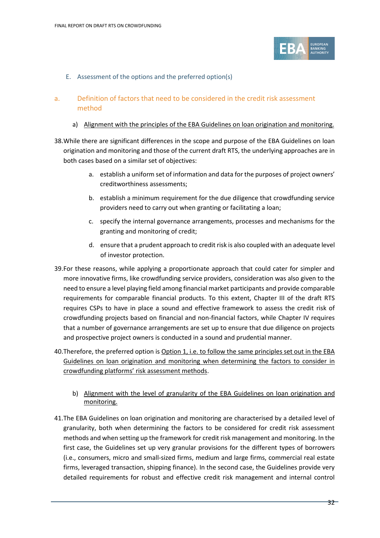

E. Assessment of the options and the preferred option(s)

#### a. Definition of factors that need to be considered in the credit risk assessment method

#### a) Alignment with the principles of the EBA Guidelines on loan origination and monitoring.

- 38.While there are significant differences in the scope and purpose of the EBA Guidelines on loan origination and monitoring and those of the current draft RTS, the underlying approaches are in both cases based on a similar set of objectives:
	- a. establish a uniform set of information and data for the purposes of project owners' creditworthiness assessments;
	- b. establish a minimum requirement for the due diligence that crowdfunding service providers need to carry out when granting or facilitating a loan;
	- c. specify the internal governance arrangements, processes and mechanisms for the granting and monitoring of credit;
	- d. ensure that a prudent approach to credit risk is also coupled with an adequate level of investor protection.
- 39.For these reasons, while applying a proportionate approach that could cater for simpler and more innovative firms, like crowdfunding service providers, consideration was also given to the need to ensure a level playing field among financial market participants and provide comparable requirements for comparable financial products. To this extent, Chapter III of the draft RTS requires CSPs to have in place a sound and effective framework to assess the credit risk of crowdfunding projects based on financial and non-financial factors, while Chapter IV requires that a number of governance arrangements are set up to ensure that due diligence on projects and prospective project owners is conducted in a sound and prudential manner.
- 40.Therefore, the preferred option is Option 1, i.e. to follow the same principles set out in the EBA Guidelines on loan origination and monitoring when determining the factors to consider in crowdfunding platforms' risk assessment methods.
	- b) Alignment with the level of granularity of the EBA Guidelines on loan origination and monitoring.
- 41.The EBA Guidelines on loan origination and monitoring are characterised by a detailed level of granularity, both when determining the factors to be considered for credit risk assessment methods and when setting up the framework for credit risk management and monitoring. In the first case, the Guidelines set up very granular provisions for the different types of borrowers (i.e., consumers, micro and small-sized firms, medium and large firms, commercial real estate firms, leveraged transaction, shipping finance). In the second case, the Guidelines provide very detailed requirements for robust and effective credit risk management and internal control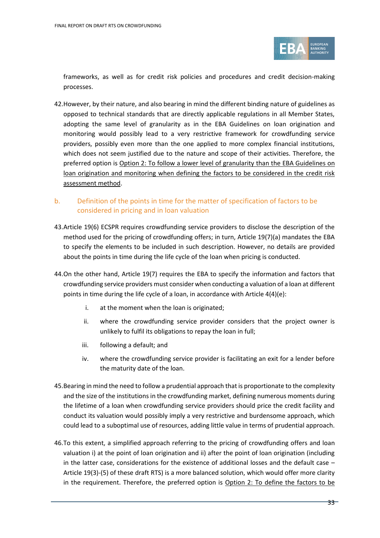

frameworks, as well as for credit risk policies and procedures and credit decision-making processes.

- 42.However, by their nature, and also bearing in mind the different binding nature of guidelines as opposed to technical standards that are directly applicable regulations in all Member States, adopting the same level of granularity as in the EBA Guidelines on loan origination and monitoring would possibly lead to a very restrictive framework for crowdfunding service providers, possibly even more than the one applied to more complex financial institutions, which does not seem justified due to the nature and scope of their activities. Therefore, the preferred option is Option 2: To follow a lower level of granularity than the EBA Guidelines on loan origination and monitoring when defining the factors to be considered in the credit risk assessment method.
- b. Definition of the points in time for the matter of specification of factors to be considered in pricing and in loan valuation
- 43.Article 19(6) ECSPR requires crowdfunding service providers to disclose the description of the method used for the pricing of crowdfunding offers; in turn, Article 19(7)(a) mandates the EBA to specify the elements to be included in such description. However, no details are provided about the points in time during the life cycle of the loan when pricing is conducted.
- 44.On the other hand, Article 19(7) requires the EBA to specify the information and factors that crowdfunding service providers must consider when conducting a valuation of a loan at different points in time during the life cycle of a loan, in accordance with Article 4(4)(e):
	- i. at the moment when the loan is originated;
	- ii. where the crowdfunding service provider considers that the project owner is unlikely to fulfil its obligations to repay the loan in full;
	- iii. following a default; and
	- iv. where the crowdfunding service provider is facilitating an exit for a lender before the maturity date of the loan.
- 45.Bearing in mind the need to follow a prudential approach that is proportionate to the complexity and the size of the institutions in the crowdfunding market, defining numerous moments during the lifetime of a loan when crowdfunding service providers should price the credit facility and conduct its valuation would possibly imply a very restrictive and burdensome approach, which could lead to a suboptimal use of resources, adding little value in terms of prudential approach.
- 46.To this extent, a simplified approach referring to the pricing of crowdfunding offers and loan valuation i) at the point of loan origination and ii) after the point of loan origination (including in the latter case, considerations for the existence of additional losses and the default case – Article 19(3)-(5) of these draft RTS) is a more balanced solution, which would offer more clarity in the requirement. Therefore, the preferred option is Option 2: To define the factors to be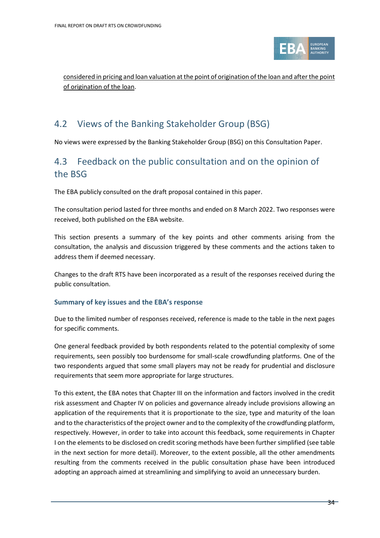

considered in pricing and loan valuation at the point of origination of the loan and after the point of origination of the loan.

# <span id="page-33-0"></span>4.2 Views of the Banking Stakeholder Group (BSG)

No views were expressed by the Banking Stakeholder Group (BSG) on this Consultation Paper.

### 4.3 Feedback on the public consultation and on the opinion of the BSG

The EBA publicly consulted on the draft proposal contained in this paper.

The consultation period lasted for three months and ended on 8 March 2022. Two responses were received, both published on the EBA website.

This section presents a summary of the key points and other comments arising from the consultation, the analysis and discussion triggered by these comments and the actions taken to address them if deemed necessary.

Changes to the draft RTS have been incorporated as a result of the responses received during the public consultation.

#### **Summary of key issues and the EBA's response**

Due to the limited number of responses received, reference is made to the table in the next pages for specific comments.

One general feedback provided by both respondents related to the potential complexity of some requirements, seen possibly too burdensome for small-scale crowdfunding platforms. One of the two respondents argued that some small players may not be ready for prudential and disclosure requirements that seem more appropriate for large structures.

To this extent, the EBA notes that Chapter III on the information and factors involved in the credit risk assessment and Chapter IV on policies and governance already include provisions allowing an application of the requirements that it is proportionate to the size, type and maturity of the loan and to the characteristics of the project owner and to the complexity of the crowdfunding platform, respectively. However, in order to take into account this feedback, some requirements in Chapter I on the elements to be disclosed on credit scoring methods have been further simplified (see table in the next section for more detail). Moreover, to the extent possible, all the other amendments resulting from the comments received in the public consultation phase have been introduced adopting an approach aimed at streamlining and simplifying to avoid an unnecessary burden.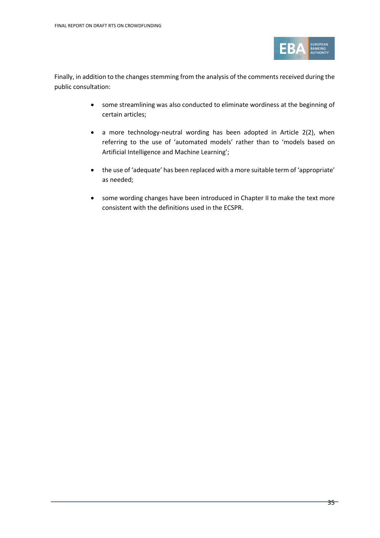

Finally, in addition to the changes stemming from the analysis of the comments received during the public consultation:

- some streamlining was also conducted to eliminate wordiness at the beginning of certain articles;
- a more technology-neutral wording has been adopted in Article 2(2), when referring to the use of 'automated models' rather than to 'models based on Artificial Intelligence and Machine Learning';
- the use of 'adequate' has been replaced with a more suitable term of 'appropriate' as needed;
- some wording changes have been introduced in Chapter II to make the text more consistent with the definitions used in the ECSPR.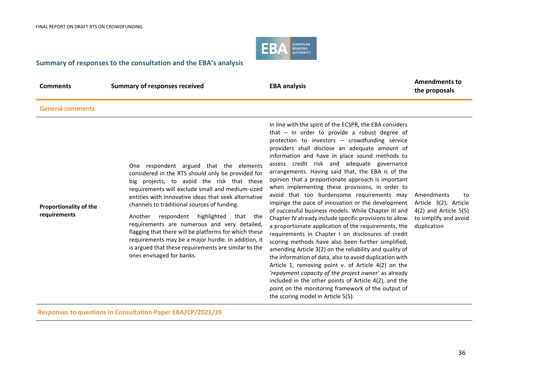

#### **Summary of responses to the consultation and the EBA's analysis**

| Comments |  |
|----------|--|
|----------|--|

**Comments Comments Comments Comments Comments Comments Comments Comments Comments Comments Comments Comments Comments Comments Comments Comments Comments Comments Comments Comments C the proposals**

#### **General comments**

| <b>Proportionality of the</b><br>requirements | One respondent argued that the elements<br>considered in the RTS should only be provided for<br>big projects, to avoid the risk that these<br>requirements will exclude small and medium-sized<br>entities with innovative ideas that seek alternative<br>channels to traditional sources of funding.<br>respondent<br>highlighted<br>Another<br>that<br>the<br>requirements are numerous and very detailed,<br>flagging that there will be platforms for which these<br>requirements may be a major hurdle. In addition, it<br>is argued that these requirements are similar to the<br>ones envisaged for banks. | In line with the spirit of the ECSPR, the EBA considers<br>that $-$ in order to provide a robust degree of<br>protection to investors - crowdfunding service<br>providers shall disclose an adequate amount of<br>information and have in place sound methods to<br>assess credit risk and adequate governance<br>arrangements. Having said that, the EBA is of the<br>opinion that a proportionate approach is important<br>when implementing these provisions, in order to<br>avoid that too burdensome requirements may<br>impinge the pace of innovation or the development<br>of successful business models. While Chapter III and<br>Chapter IV already include specific provisions to allow<br>a proportionate application of the requirements, the<br>requirements in Chapter I on disclosures of credit<br>scoring methods have also been further simplified,<br>amending Article 3(2) on the reliability and quality of<br>the information of data, also to avoid duplication with<br>Article 1, removing point v. of Article 4(2) on the<br>'repayment capacity of the project owner' as already<br>included in the other points of Article 4(2), and the<br>point on the monitoring framework of the output of<br>the scoring model in Article 5(5). | Amendments<br>to<br>Article 3(2), Article<br>$4(2)$ and Article $5(5)$<br>to simplify and avoid<br>duplication |
|-----------------------------------------------|-------------------------------------------------------------------------------------------------------------------------------------------------------------------------------------------------------------------------------------------------------------------------------------------------------------------------------------------------------------------------------------------------------------------------------------------------------------------------------------------------------------------------------------------------------------------------------------------------------------------|------------------------------------------------------------------------------------------------------------------------------------------------------------------------------------------------------------------------------------------------------------------------------------------------------------------------------------------------------------------------------------------------------------------------------------------------------------------------------------------------------------------------------------------------------------------------------------------------------------------------------------------------------------------------------------------------------------------------------------------------------------------------------------------------------------------------------------------------------------------------------------------------------------------------------------------------------------------------------------------------------------------------------------------------------------------------------------------------------------------------------------------------------------------------------------------------------------------------------------------------------------------|----------------------------------------------------------------------------------------------------------------|
|-----------------------------------------------|-------------------------------------------------------------------------------------------------------------------------------------------------------------------------------------------------------------------------------------------------------------------------------------------------------------------------------------------------------------------------------------------------------------------------------------------------------------------------------------------------------------------------------------------------------------------------------------------------------------------|------------------------------------------------------------------------------------------------------------------------------------------------------------------------------------------------------------------------------------------------------------------------------------------------------------------------------------------------------------------------------------------------------------------------------------------------------------------------------------------------------------------------------------------------------------------------------------------------------------------------------------------------------------------------------------------------------------------------------------------------------------------------------------------------------------------------------------------------------------------------------------------------------------------------------------------------------------------------------------------------------------------------------------------------------------------------------------------------------------------------------------------------------------------------------------------------------------------------------------------------------------------|----------------------------------------------------------------------------------------------------------------|

**Responses to questions in Consultation Paper EBA/CP/2021/39**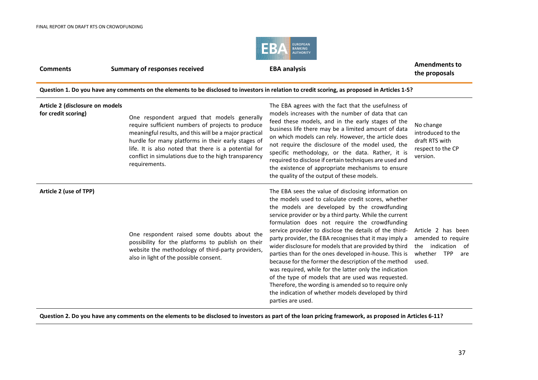

**Comments Summary of responses received EBA analysis EBA analysis Amendments to EBA Analysis the proposals**

**Question 1. Do you have any comments on the elements to be disclosed to investors in relation to credit scoring, as proposed in Articles 1-5?**

| Article 2 (disclosure on models<br>for credit scoring) | One respondent argued that models generally<br>require sufficient numbers of projects to produce<br>meaningful results, and this will be a major practical<br>hurdle for many platforms in their early stages of<br>life. It is also noted that there is a potential for<br>conflict in simulations due to the high transparency<br>requirements. | The EBA agrees with the fact that the usefulness of<br>models increases with the number of data that can<br>feed these models, and in the early stages of the<br>business life there may be a limited amount of data<br>on which models can rely. However, the article does<br>not require the disclosure of the model used, the<br>specific methodology, or the data. Rather, it is<br>required to disclose if certain techniques are used and<br>the existence of appropriate mechanisms to ensure<br>the quality of the output of these models.                                                                                                                                                                                                                                                                        | No change<br>introduced to the<br>draft RTS with<br>respect to the CP<br>version.                      |
|--------------------------------------------------------|---------------------------------------------------------------------------------------------------------------------------------------------------------------------------------------------------------------------------------------------------------------------------------------------------------------------------------------------------|---------------------------------------------------------------------------------------------------------------------------------------------------------------------------------------------------------------------------------------------------------------------------------------------------------------------------------------------------------------------------------------------------------------------------------------------------------------------------------------------------------------------------------------------------------------------------------------------------------------------------------------------------------------------------------------------------------------------------------------------------------------------------------------------------------------------------|--------------------------------------------------------------------------------------------------------|
| Article 2 (use of TPP)                                 | One respondent raised some doubts about the<br>possibility for the platforms to publish on their<br>website the methodology of third-party providers,<br>also in light of the possible consent.                                                                                                                                                   | The EBA sees the value of disclosing information on<br>the models used to calculate credit scores, whether<br>the models are developed by the crowdfunding<br>service provider or by a third party. While the current<br>formulation does not require the crowdfunding<br>service provider to disclose the details of the third-<br>party provider, the EBA recognises that it may imply a<br>wider disclosure for models that are provided by third<br>parties than for the ones developed in-house. This is<br>because for the former the description of the method<br>was required, while for the latter only the indication<br>of the type of models that are used was requested.<br>Therefore, the wording is amended so to require only<br>the indication of whether models developed by third<br>parties are used. | Article 2 has been<br>amended to require<br>the indication of<br>whether<br><b>TPP</b><br>are<br>used. |

**Question 2. Do you have any comments on the elements to be disclosed to investors as part of the loan pricing framework, as proposed in Articles 6-11?**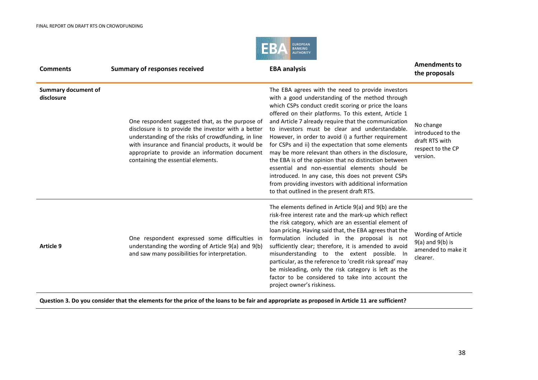

| <b>Comments</b>                          | <b>Summary of responses received</b>                                                                                                                                                                                                                                                                         | <b>EBA analysis</b>                                                                                                                                                                                                                                                                                                                                                                                                                                                                                                                                                                                                                                                                                                                                                          | <b>Amendments to</b><br>the proposals                                             |
|------------------------------------------|--------------------------------------------------------------------------------------------------------------------------------------------------------------------------------------------------------------------------------------------------------------------------------------------------------------|------------------------------------------------------------------------------------------------------------------------------------------------------------------------------------------------------------------------------------------------------------------------------------------------------------------------------------------------------------------------------------------------------------------------------------------------------------------------------------------------------------------------------------------------------------------------------------------------------------------------------------------------------------------------------------------------------------------------------------------------------------------------------|-----------------------------------------------------------------------------------|
| <b>Summary document of</b><br>disclosure | One respondent suggested that, as the purpose of<br>disclosure is to provide the investor with a better<br>understanding of the risks of crowdfunding, in line<br>with insurance and financial products, it would be<br>appropriate to provide an information document<br>containing the essential elements. | The EBA agrees with the need to provide investors<br>with a good understanding of the method through<br>which CSPs conduct credit scoring or price the loans<br>offered on their platforms. To this extent, Article 1<br>and Article 7 already require that the communication<br>to investors must be clear and understandable.<br>However, in order to avoid i) a further requirement<br>for CSPs and ii) the expectation that some elements<br>may be more relevant than others in the disclosure,<br>the EBA is of the opinion that no distinction between<br>essential and non-essential elements should be<br>introduced. In any case, this does not prevent CSPs<br>from providing investors with additional information<br>to that outlined in the present draft RTS. | No change<br>introduced to the<br>draft RTS with<br>respect to the CP<br>version. |
| Article 9                                | One respondent expressed some difficulties in<br>understanding the wording of Article 9(a) and 9(b)<br>and saw many possibilities for interpretation.                                                                                                                                                        | The elements defined in Article 9(a) and 9(b) are the<br>risk-free interest rate and the mark-up which reflect<br>the risk category, which are an essential element of<br>loan pricing. Having said that, the EBA agrees that the<br>formulation included in the proposal is not<br>sufficiently clear; therefore, it is amended to avoid<br>misunderstanding to the extent possible. In<br>particular, as the reference to 'credit risk spread' may<br>be misleading, only the risk category is left as the<br>factor to be considered to take into account the<br>project owner's riskiness.                                                                                                                                                                               | Wording of Article<br>$9(a)$ and $9(b)$ is<br>amended to make it<br>clearer.      |

**Question 3. Do you consider that the elements for the price of the loans to be fair and appropriate as proposed in Article 11 are sufficient?**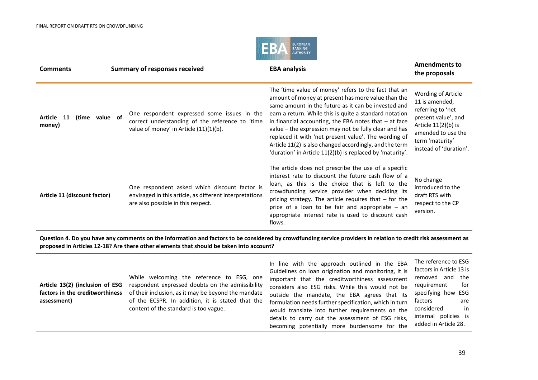

| <b>Comments</b>                        | <b>Summary of responses received</b>                                                                                                           | <b>EBA analysis</b>                                                                                                                                                                                                                                                                                                                                                                                                                                                                                                             | <b>Amendments to</b><br>the proposals                                                                                                                                        |
|----------------------------------------|------------------------------------------------------------------------------------------------------------------------------------------------|---------------------------------------------------------------------------------------------------------------------------------------------------------------------------------------------------------------------------------------------------------------------------------------------------------------------------------------------------------------------------------------------------------------------------------------------------------------------------------------------------------------------------------|------------------------------------------------------------------------------------------------------------------------------------------------------------------------------|
| Article 11<br>(time value of<br>money) | One respondent expressed some issues in the<br>correct understanding of the reference to 'time<br>value of money' in Article (11)(1)(b).       | The 'time value of money' refers to the fact that an<br>amount of money at present has more value than the<br>same amount in the future as it can be invested and<br>earn a return. While this is quite a standard notation<br>in financial accounting, the EBA notes that $-$ at face<br>value – the expression may not be fully clear and has<br>replaced it with 'net present value'. The wording of<br>Article 11(2) is also changed accordingly, and the term<br>'duration' in Article 11(2)(b) is replaced by 'maturity'. | Wording of Article<br>11 is amended,<br>referring to 'net<br>present value', and<br>Article $11(2)(b)$ is<br>amended to use the<br>term 'maturity'<br>instead of 'duration'. |
| Article 11 (discount factor)           | One respondent asked which discount factor is<br>envisaged in this article, as different interpretations<br>are also possible in this respect. | The article does not prescribe the use of a specific<br>interest rate to discount the future cash flow of a<br>loan, as this is the choice that is left to the<br>crowdfunding service provider when deciding its<br>pricing strategy. The article requires that $-$ for the<br>price of a loan to be fair and appropriate - an<br>appropriate interest rate is used to discount cash<br>flows.                                                                                                                                 | No change<br>introduced to the<br>draft RTS with<br>respect to the CP<br>version.                                                                                            |

**Question 4. Do you have any comments on the information and factors to be considered by crowdfunding service providers in relation to credit risk assessment as proposed in Articles 12-18? Are there other elements that should be taken into account?**

| Article 13(2) (inclusion of ESG<br>factors in the creditworthiness<br>assessment) | While welcoming the reference to ESG, one<br>respondent expressed doubts on the admissibility<br>of their inclusion, as it may be beyond the mandate<br>of the ECSPR. In addition, it is stated that the<br>content of the standard is too vague. | In line with the approach outlined in the EBA<br>Guidelines on loan origination and monitoring, it is<br>important that the creditworthiness assessment<br>considers also ESG risks. While this would not be<br>outside the mandate, the EBA agrees that its<br>formulation needs further specification, which in turn | The reference to ESG<br>factors in Article 13 is<br>removed and the<br>requirement<br>for<br>specifying how ESG<br>factors<br>are<br>considered<br>in |
|-----------------------------------------------------------------------------------|---------------------------------------------------------------------------------------------------------------------------------------------------------------------------------------------------------------------------------------------------|------------------------------------------------------------------------------------------------------------------------------------------------------------------------------------------------------------------------------------------------------------------------------------------------------------------------|-------------------------------------------------------------------------------------------------------------------------------------------------------|
|                                                                                   |                                                                                                                                                                                                                                                   | would translate into further requirements on the<br>details to carry out the assessment of ESG risks,                                                                                                                                                                                                                  | internal policies is                                                                                                                                  |
|                                                                                   |                                                                                                                                                                                                                                                   | becoming potentially more burdensome for the                                                                                                                                                                                                                                                                           | added in Article 28.                                                                                                                                  |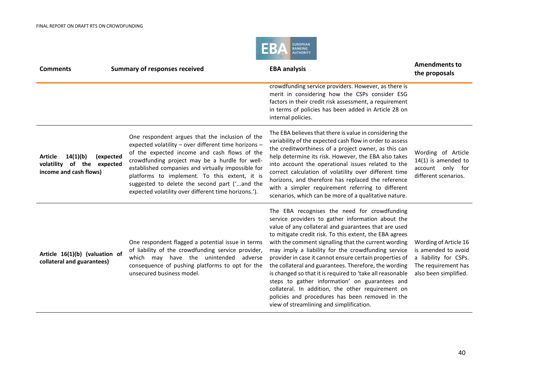

| <b>Comments</b>                                                                                 | <b>Summary of responses received</b>                                                                                                                                                                                                                                                                                                                                                                                      | <b>EBA analysis</b>                                                                                                                                                                                                                                                                                                                                                                                                                                                                                                                                                                                                                                                                                                       | <b>Amendments to</b><br>the proposals                                                                                 |
|-------------------------------------------------------------------------------------------------|---------------------------------------------------------------------------------------------------------------------------------------------------------------------------------------------------------------------------------------------------------------------------------------------------------------------------------------------------------------------------------------------------------------------------|---------------------------------------------------------------------------------------------------------------------------------------------------------------------------------------------------------------------------------------------------------------------------------------------------------------------------------------------------------------------------------------------------------------------------------------------------------------------------------------------------------------------------------------------------------------------------------------------------------------------------------------------------------------------------------------------------------------------------|-----------------------------------------------------------------------------------------------------------------------|
|                                                                                                 |                                                                                                                                                                                                                                                                                                                                                                                                                           | crowdfunding service providers. However, as there is<br>merit in considering how the CSPs consider ESG<br>factors in their credit risk assessment, a requirement<br>in terms of policies has been added in Article 28 on<br>internal policies.                                                                                                                                                                                                                                                                                                                                                                                                                                                                            |                                                                                                                       |
| 14(1)(b)<br><b>Article</b><br>(expected<br>volatility of the expected<br>income and cash flows) | One respondent argues that the inclusion of the<br>expected volatility - over different time horizons -<br>of the expected income and cash flows of the<br>crowdfunding project may be a hurdle for well-<br>established companies and virtually impossible for<br>platforms to implement. To this extent, it is<br>suggested to delete the second part ('and the<br>expected volatility over different time horizons.'). | The EBA believes that there is value in considering the<br>variability of the expected cash flow in order to assess<br>the creditworthiness of a project owner, as this can<br>help determine its risk. However, the EBA also takes<br>into account the operational issues related to the<br>correct calculation of volatility over different time<br>horizons, and therefore has replaced the reference<br>with a simpler requirement referring to different<br>scenarios, which can be more of a qualitative nature.                                                                                                                                                                                                    | Wording of Article<br>$14(1)$ is amended to<br>account only for<br>different scenarios.                               |
| Article 16(1)(b) (valuation of<br>collateral and guarantees)                                    | One respondent flagged a potential issue in terms<br>of liability of the crowdfunding service provider,<br>which may have the unintended adverse<br>consequence of pushing platforms to opt for the<br>unsecured business model.                                                                                                                                                                                          | The EBA recognises the need for crowdfunding<br>service providers to gather information about the<br>value of any collateral and guarantees that are used<br>to mitigate credit risk. To this extent, the EBA agrees<br>with the comment signalling that the current wording<br>may imply a liability for the crowdfunding service<br>provider in case it cannot ensure certain properties of<br>the collateral and guarantees. Therefore, the wording<br>is changed so that it is required to 'take all reasonable<br>steps to gather information' on guarantees and<br>collateral. In addition, the other requirement on<br>policies and procedures has been removed in the<br>view of streamlining and simplification. | Wording of Article 16<br>is amended to avoid<br>a liability for CSPs.<br>The requirement has<br>also been simplified. |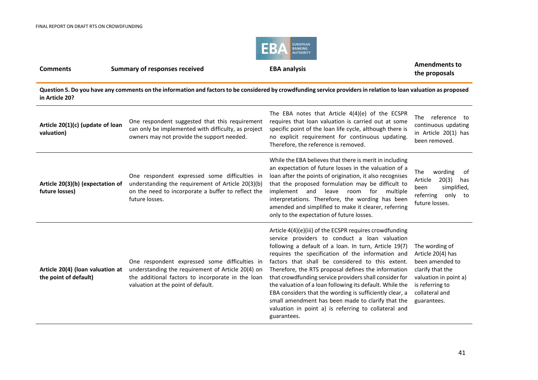

#### **Comments Summary of responses received EBA analysis EBA analysis Amendments to EBA Analysis the proposals**

**Question 5. Do you have any comments on the information and factors to be considered by crowdfunding service providers in relation to loan valuation as proposed in Article 20?**

| Article 20(1)(c) (update of loan<br>valuation)            | One respondent suggested that this requirement<br>can only be implemented with difficulty, as project<br>owners may not provide the support needed.                                           | The EBA notes that Article $4(4)(e)$ of the ECSPR<br>requires that loan valuation is carried out at some<br>specific point of the loan life cycle, although there is<br>no explicit requirement for continuous updating.<br>Therefore, the reference is removed.                                                                                                                                                                                                                                                                                                                                                                               | <b>The</b><br>reference to<br>continuous updating<br>in Article 20(1) has<br>been removed.                                                              |
|-----------------------------------------------------------|-----------------------------------------------------------------------------------------------------------------------------------------------------------------------------------------------|------------------------------------------------------------------------------------------------------------------------------------------------------------------------------------------------------------------------------------------------------------------------------------------------------------------------------------------------------------------------------------------------------------------------------------------------------------------------------------------------------------------------------------------------------------------------------------------------------------------------------------------------|---------------------------------------------------------------------------------------------------------------------------------------------------------|
| Article 20(3)(b) (expectation of<br>future losses)        | One respondent expressed some difficulties in<br>understanding the requirement of Article 20(3)(b)<br>on the need to incorporate a buffer to reflect the<br>future losses.                    | While the EBA believes that there is merit in including<br>an expectation of future losses in the valuation of a<br>loan after the points of origination, it also recognises<br>that the proposed formulation may be difficult to<br>implement<br>and<br>leave<br>for<br>room<br>multiple<br>interpretations. Therefore, the wording has been<br>amended and simplified to make it clearer, referring<br>only to the expectation of future losses.                                                                                                                                                                                             | The<br>wording<br>of<br>20(3)<br>Article<br>has<br>simplified,<br>been<br>referring<br>only<br>to to<br>future losses.                                  |
| Article 20(4) (loan valuation at<br>the point of default) | One respondent expressed some difficulties in<br>understanding the requirement of Article 20(4) on<br>the additional factors to incorporate in the loan<br>valuation at the point of default. | Article 4(4)(e)(iii) of the ECSPR requires crowdfunding<br>service providers to conduct a loan valuation<br>following a default of a loan. In turn, Article 19(7)<br>requires the specification of the information and<br>factors that shall be considered to this extent.<br>Therefore, the RTS proposal defines the information<br>that crowdfunding service providers shall consider for<br>the valuation of a loan following its default. While the<br>EBA considers that the wording is sufficiently clear, a<br>small amendment has been made to clarify that the<br>valuation in point a) is referring to collateral and<br>guarantees. | The wording of<br>Article 20(4) has<br>been amended to<br>clarify that the<br>valuation in point a)<br>is referring to<br>collateral and<br>guarantees. |